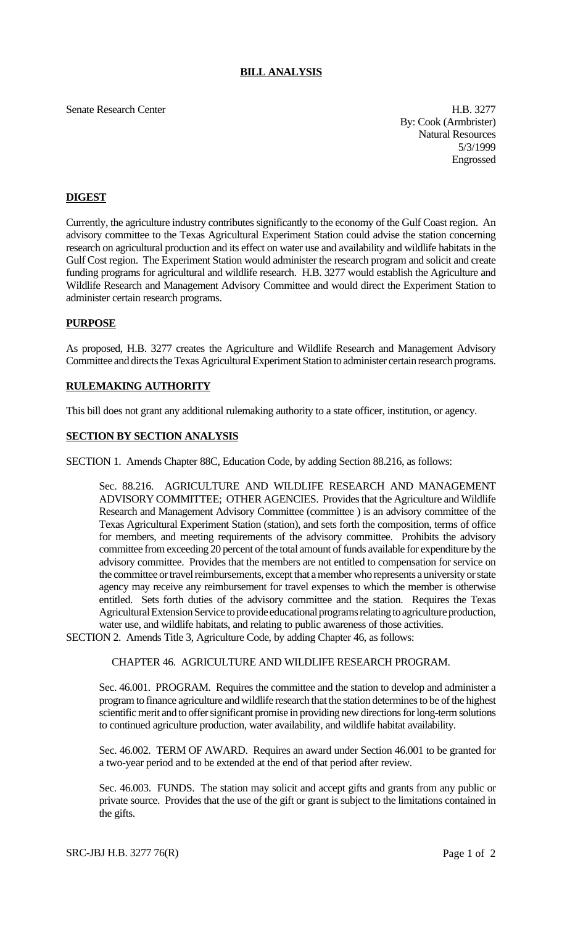### **BILL ANALYSIS**

Senate Research Center **H.B. 3277** 

By: Cook (Armbrister) Natural Resources 5/3/1999 Engrossed

## **DIGEST**

Currently, the agriculture industry contributes significantly to the economy of the Gulf Coast region. An advisory committee to the Texas Agricultural Experiment Station could advise the station concerning research on agricultural production and its effect on water use and availability and wildlife habitats in the Gulf Cost region. The Experiment Station would administer the research program and solicit and create funding programs for agricultural and wildlife research. H.B. 3277 would establish the Agriculture and Wildlife Research and Management Advisory Committee and would direct the Experiment Station to administer certain research programs.

### **PURPOSE**

As proposed, H.B. 3277 creates the Agriculture and Wildlife Research and Management Advisory Committee and directs the Texas Agricultural Experiment Station to administer certain research programs.

## **RULEMAKING AUTHORITY**

This bill does not grant any additional rulemaking authority to a state officer, institution, or agency.

### **SECTION BY SECTION ANALYSIS**

SECTION 1. Amends Chapter 88C, Education Code, by adding Section 88.216, as follows:

Sec. 88.216. AGRICULTURE AND WILDLIFE RESEARCH AND MANAGEMENT ADVISORY COMMITTEE; OTHER AGENCIES. Provides that the Agriculture and Wildlife Research and Management Advisory Committee (committee ) is an advisory committee of the Texas Agricultural Experiment Station (station), and sets forth the composition, terms of office for members, and meeting requirements of the advisory committee. Prohibits the advisory committee from exceeding 20 percent of the total amount of funds available for expenditure by the advisory committee. Provides that the members are not entitled to compensation for service on the committee or travel reimbursements, except that a member who represents a university or state agency may receive any reimbursement for travel expenses to which the member is otherwise entitled. Sets forth duties of the advisory committee and the station. Requires the Texas Agricultural Extension Service to provide educational programs relating to agriculture production, water use, and wildlife habitats, and relating to public awareness of those activities.

SECTION 2. Amends Title 3, Agriculture Code, by adding Chapter 46, as follows:

# CHAPTER 46. AGRICULTURE AND WILDLIFE RESEARCH PROGRAM.

Sec. 46.001. PROGRAM. Requires the committee and the station to develop and administer a program to finance agriculture and wildlife research that the station determines to be of the highest scientific merit and to offer significant promise in providing new directions for long-term solutions to continued agriculture production, water availability, and wildlife habitat availability.

Sec. 46.002. TERM OF AWARD. Requires an award under Section 46.001 to be granted for a two-year period and to be extended at the end of that period after review.

Sec. 46.003. FUNDS. The station may solicit and accept gifts and grants from any public or private source. Provides that the use of the gift or grant is subject to the limitations contained in the gifts.